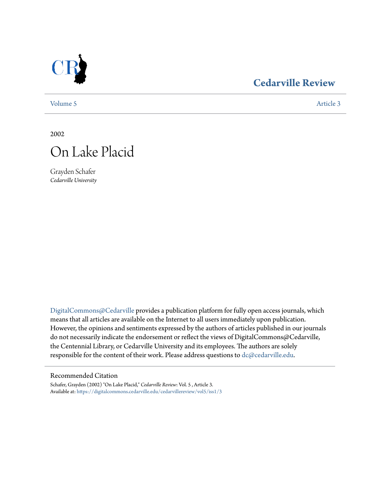

## **[Cedarville Review](https://digitalcommons.cedarville.edu/cedarvillereview?utm_source=digitalcommons.cedarville.edu%2Fcedarvillereview%2Fvol5%2Fiss1%2F3&utm_medium=PDF&utm_campaign=PDFCoverPages)**

[Volume 5](https://digitalcommons.cedarville.edu/cedarvillereview/vol5?utm_source=digitalcommons.cedarville.edu%2Fcedarvillereview%2Fvol5%2Fiss1%2F3&utm_medium=PDF&utm_campaign=PDFCoverPages) [Article 3](https://digitalcommons.cedarville.edu/cedarvillereview/vol5/iss1/3?utm_source=digitalcommons.cedarville.edu%2Fcedarvillereview%2Fvol5%2Fiss1%2F3&utm_medium=PDF&utm_campaign=PDFCoverPages)

2002



Grayden Schafer *Cedarville University*

[DigitalCommons@Cedarville](http://digitalcommons.cedarville.edu) provides a publication platform for fully open access journals, which means that all articles are available on the Internet to all users immediately upon publication. However, the opinions and sentiments expressed by the authors of articles published in our journals do not necessarily indicate the endorsement or reflect the views of DigitalCommons@Cedarville, the Centennial Library, or Cedarville University and its employees. The authors are solely responsible for the content of their work. Please address questions to [dc@cedarville.edu](mailto:dc@cedarville.edu).

#### Recommended Citation

Schafer, Grayden (2002) "On Lake Placid," *Cedarville Review*: Vol. 5 , Article 3. Available at: [https://digitalcommons.cedarville.edu/cedarvillereview/vol5/iss1/3](https://digitalcommons.cedarville.edu/cedarvillereview/vol5/iss1/3?utm_source=digitalcommons.cedarville.edu%2Fcedarvillereview%2Fvol5%2Fiss1%2F3&utm_medium=PDF&utm_campaign=PDFCoverPages)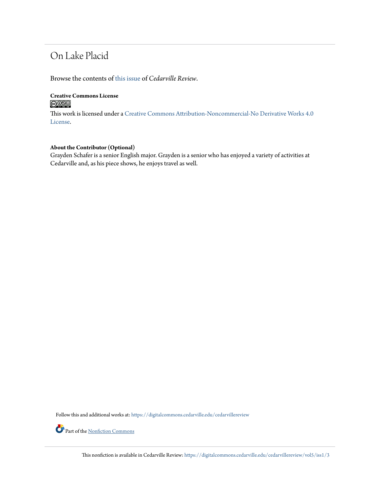# On Lake Placid

Browse the contents of [this issue](https://digitalcommons.cedarville.edu/cedarvillereview/vol5/iss1) of *Cedarville Review*.

#### **Creative Commons License**  $\bigcirc$   $\circ$

This work is licensed under a [Creative Commons Attribution-Noncommercial-No Derivative Works 4.0](http://creativecommons.org/licenses/by-nc-nd/4.0/) [License.](http://creativecommons.org/licenses/by-nc-nd/4.0/)

#### **About the Contributor (Optional)**

Grayden Schafer is a senior English major. Grayden is a senior who has enjoyed a variety of activities at Cedarville and, as his piece shows, he enjoys travel as well.

Follow this and additional works at: [https://digitalcommons.cedarville.edu/cedarvillereview](https://digitalcommons.cedarville.edu/cedarvillereview?utm_source=digitalcommons.cedarville.edu%2Fcedarvillereview%2Fvol5%2Fiss1%2F3&utm_medium=PDF&utm_campaign=PDFCoverPages)

Part of the <u>[Nonfiction Commons](http://network.bepress.com/hgg/discipline/1152?utm_source=digitalcommons.cedarville.edu%2Fcedarvillereview%2Fvol5%2Fiss1%2F3&utm_medium=PDF&utm_campaign=PDFCoverPages)</u>

This nonfiction is available in Cedarville Review: [https://digitalcommons.cedarville.edu/cedarvillereview/vol5/iss1/3](https://digitalcommons.cedarville.edu/cedarvillereview/vol5/iss1/3?utm_source=digitalcommons.cedarville.edu%2Fcedarvillereview%2Fvol5%2Fiss1%2F3&utm_medium=PDF&utm_campaign=PDFCoverPages)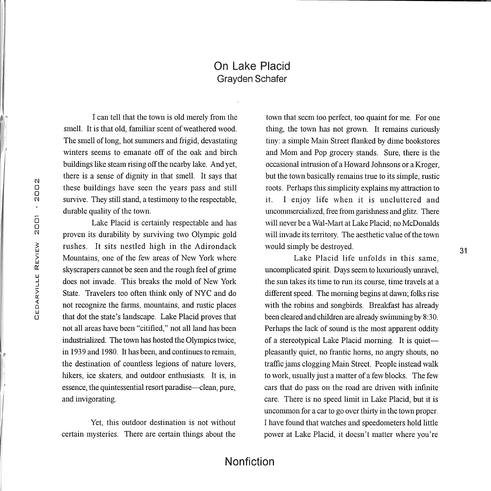### On Lake Placid Grayden Schafer

I can tell that the town is old merely from the smell. It is that old, familiar scent of weathered wood. The smell of long, hot summers and frigid, devastating winters seems to emanate off of the oak and birch buildings like steam rising off the nearby lake. And yet, there is a sense of dignity in that smell. It says that these buildings have seen the years pass and still survive. They still stand, a testimony to the respectable, durable quality of the town.

Lake Placid is certainly respectable and has proven its durability by surviving two Olympic gold rushes. It sits nestled high in the Adirondack Mountains, one of the few areas of New York where skyscrapers cannot be seen and the rough feel of grime does not invade. This breaks the mold of New York State. Travelers too often think only of NYC and do not recognize the farms, mountains, and rustic places that dot the state's landscape. Lake Placid proves that not all areas have been "citified," not all land has been industrialized. The town has hosted the Olympics twice, in 1939 and 1980. It has been, and continues to remain, the destination of countless legions of nature lovers, hikers, ice skaters, and outdoor enthusiasts. It is, in essence, the quintessential resort paradise—clean, pure, and invigorating.

Yet, this outdoor destination is not without certain mysteries. There are certain things about the town that seem too perfect, too quaint for me. For one thing, the town has not grown. It remains curiously tiny: a simple Main Street flanked by dime bookstores and Mom and Pop grocery stands. Sure, there is the occasional intrusion of a Howard Jolmsons or a Kroger, but the town basically remains true to its simple, rustic roots. Perhaps this simplicity explains my attraction to it. I enjoy life when it is uncluttered and uncommercialized, free from garishness and glitz. There will never be a Wal-Mart at Lake Placid; no McDonalds will invade its territory. The aesthetic value of the town would simply be destroyed.

Lake Placid life unfolds in this same, uncomplicated spirit. Days seem to luxuriously unravel, the sun takes its time to run its course, time travels at a different speed. The morning begins at dawn; folks rise with the robins and songbirds. Breakfast has already been cleared and children are already swimming by 8:30. Perhaps the lack of sound is the most apparent oddity of a stereotypical Lake Placid morning. It is quietpleasantly quiet, no frantic horns, no angry shouts, no traffic jams clogging Main Street. People instead walk to work, usually just a matter of a few blocks. The few cars that do pass on the road are driven with infinite care. There is no speed limit in Lake Placid, but it is uncommon for a car to go over thirty in the town proper. I have found that watches and speedometers hold little power at Lalce Placid, it doesn't matter where you're